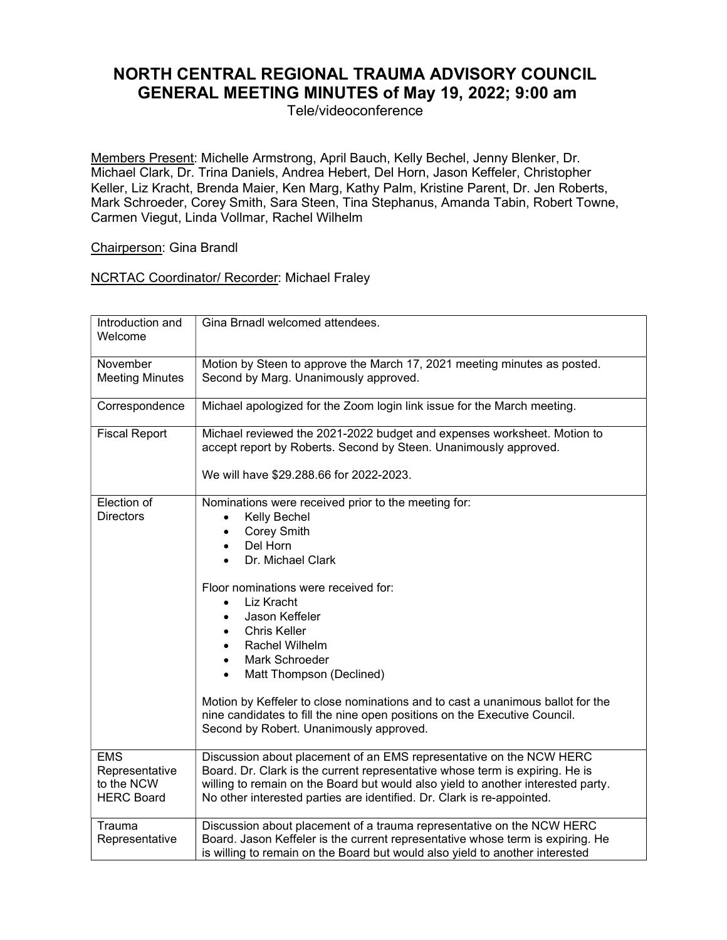## NORTH CENTRAL REGIONAL TRAUMA ADVISORY COUNCIL GENERAL MEETING MINUTES of May 19, 2022; 9:00 am

Tele/videoconference

Members Present: Michelle Armstrong, April Bauch, Kelly Bechel, Jenny Blenker, Dr. Michael Clark, Dr. Trina Daniels, Andrea Hebert, Del Horn, Jason Keffeler, Christopher Keller, Liz Kracht, Brenda Maier, Ken Marg, Kathy Palm, Kristine Parent, Dr. Jen Roberts, Mark Schroeder, Corey Smith, Sara Steen, Tina Stephanus, Amanda Tabin, Robert Towne, Carmen Viegut, Linda Vollmar, Rachel Wilhelm

## Chairperson: Gina Brandl

## NCRTAC Coordinator/ Recorder: Michael Fraley

| Introduction and<br>Welcome                                     | Gina Brnadl welcomed attendees.                                                                                                                                                                                                                                                                                                                                                                                                                                                                                                                  |
|-----------------------------------------------------------------|--------------------------------------------------------------------------------------------------------------------------------------------------------------------------------------------------------------------------------------------------------------------------------------------------------------------------------------------------------------------------------------------------------------------------------------------------------------------------------------------------------------------------------------------------|
| November<br><b>Meeting Minutes</b>                              | Motion by Steen to approve the March 17, 2021 meeting minutes as posted.<br>Second by Marg. Unanimously approved.                                                                                                                                                                                                                                                                                                                                                                                                                                |
| Correspondence                                                  | Michael apologized for the Zoom login link issue for the March meeting.                                                                                                                                                                                                                                                                                                                                                                                                                                                                          |
| <b>Fiscal Report</b>                                            | Michael reviewed the 2021-2022 budget and expenses worksheet. Motion to<br>accept report by Roberts. Second by Steen. Unanimously approved.<br>We will have \$29.288.66 for 2022-2023.                                                                                                                                                                                                                                                                                                                                                           |
| Election of<br><b>Directors</b>                                 | Nominations were received prior to the meeting for:<br>Kelly Bechel<br>$\bullet$<br>Corey Smith<br>Del Horn<br>Dr. Michael Clark<br>Floor nominations were received for:<br>Liz Kracht<br>$\bullet$<br>Jason Keffeler<br><b>Chris Keller</b><br>Rachel Wilhelm<br>Mark Schroeder<br>$\bullet$<br>Matt Thompson (Declined)<br>$\bullet$<br>Motion by Keffeler to close nominations and to cast a unanimous ballot for the<br>nine candidates to fill the nine open positions on the Executive Council.<br>Second by Robert. Unanimously approved. |
| <b>EMS</b><br>Representative<br>to the NCW<br><b>HERC Board</b> | Discussion about placement of an EMS representative on the NCW HERC<br>Board. Dr. Clark is the current representative whose term is expiring. He is<br>willing to remain on the Board but would also yield to another interested party.<br>No other interested parties are identified. Dr. Clark is re-appointed.                                                                                                                                                                                                                                |
| Trauma<br>Representative                                        | Discussion about placement of a trauma representative on the NCW HERC<br>Board. Jason Keffeler is the current representative whose term is expiring. He<br>is willing to remain on the Board but would also yield to another interested                                                                                                                                                                                                                                                                                                          |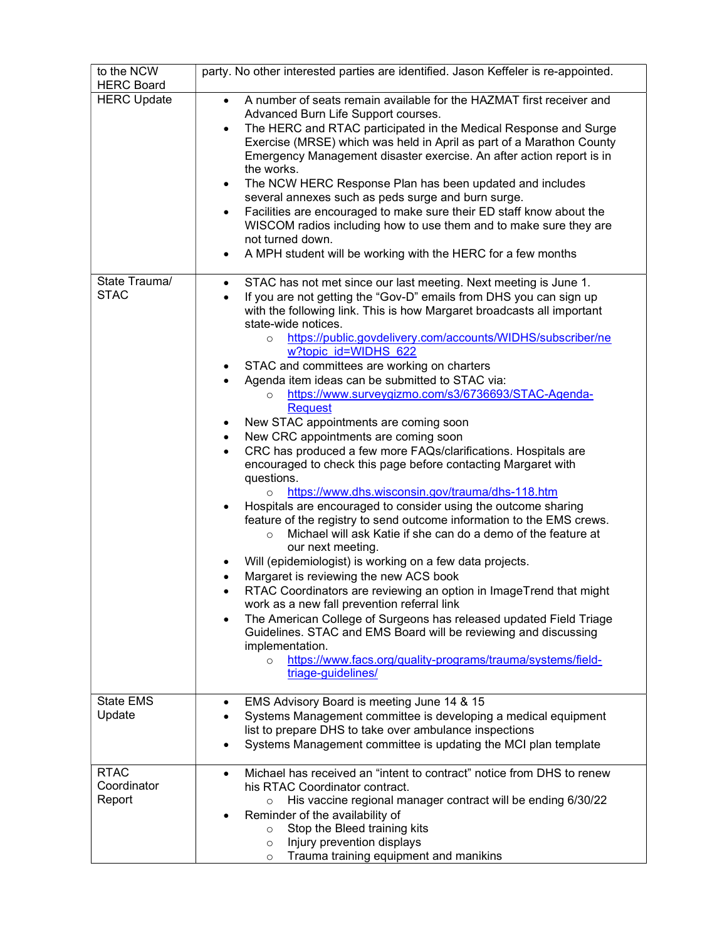| to the NCW<br><b>HERC Board</b>      | party. No other interested parties are identified. Jason Keffeler is re-appointed.                                                                                                                                                                                                                                                                                                                                                                                                                                                                                                                                                                                                                                                                                                                                                                                                                                                                                                                                                                                                                                                                                                                                                                                                                                                                                                                                                                                                                                                                                                                                                    |
|--------------------------------------|---------------------------------------------------------------------------------------------------------------------------------------------------------------------------------------------------------------------------------------------------------------------------------------------------------------------------------------------------------------------------------------------------------------------------------------------------------------------------------------------------------------------------------------------------------------------------------------------------------------------------------------------------------------------------------------------------------------------------------------------------------------------------------------------------------------------------------------------------------------------------------------------------------------------------------------------------------------------------------------------------------------------------------------------------------------------------------------------------------------------------------------------------------------------------------------------------------------------------------------------------------------------------------------------------------------------------------------------------------------------------------------------------------------------------------------------------------------------------------------------------------------------------------------------------------------------------------------------------------------------------------------|
| <b>HERC Update</b>                   | A number of seats remain available for the HAZMAT first receiver and<br>$\bullet$<br>Advanced Burn Life Support courses.<br>The HERC and RTAC participated in the Medical Response and Surge<br>$\bullet$<br>Exercise (MRSE) which was held in April as part of a Marathon County<br>Emergency Management disaster exercise. An after action report is in<br>the works.<br>The NCW HERC Response Plan has been updated and includes<br>$\bullet$<br>several annexes such as peds surge and burn surge.<br>Facilities are encouraged to make sure their ED staff know about the<br>$\bullet$<br>WISCOM radios including how to use them and to make sure they are<br>not turned down.<br>A MPH student will be working with the HERC for a few months<br>$\bullet$                                                                                                                                                                                                                                                                                                                                                                                                                                                                                                                                                                                                                                                                                                                                                                                                                                                                     |
| State Trauma/<br><b>STAC</b>         | STAC has not met since our last meeting. Next meeting is June 1.<br>$\bullet$<br>If you are not getting the "Gov-D" emails from DHS you can sign up<br>with the following link. This is how Margaret broadcasts all important<br>state-wide notices.<br>https://public.govdelivery.com/accounts/WIDHS/subscriber/ne<br>$\circ$<br>w?topic_id=WIDHS_622<br>STAC and committees are working on charters<br>Agenda item ideas can be submitted to STAC via:<br>$\bullet$<br>https://www.surveygizmo.com/s3/6736693/STAC-Agenda-<br>$\Omega$<br><b>Request</b><br>New STAC appointments are coming soon<br>New CRC appointments are coming soon<br>$\bullet$<br>CRC has produced a few more FAQs/clarifications. Hospitals are<br>$\bullet$<br>encouraged to check this page before contacting Margaret with<br>questions.<br>https://www.dhs.wisconsin.gov/trauma/dhs-118.htm<br>$\circ$<br>Hospitals are encouraged to consider using the outcome sharing<br>$\bullet$<br>feature of the registry to send outcome information to the EMS crews.<br>Michael will ask Katie if she can do a demo of the feature at<br>$\circ$<br>our next meeting.<br>Will (epidemiologist) is working on a few data projects.<br>Margaret is reviewing the new ACS book<br>RTAC Coordinators are reviewing an option in ImageTrend that might<br>work as a new fall prevention referral link<br>The American College of Surgeons has released updated Field Triage<br>Guidelines. STAC and EMS Board will be reviewing and discussing<br>implementation.<br>https://www.facs.org/quality-programs/trauma/systems/field-<br>$\circ$<br>triage-guidelines/ |
| <b>State EMS</b><br>Update           | EMS Advisory Board is meeting June 14 & 15<br>Systems Management committee is developing a medical equipment<br>list to prepare DHS to take over ambulance inspections<br>Systems Management committee is updating the MCI plan template                                                                                                                                                                                                                                                                                                                                                                                                                                                                                                                                                                                                                                                                                                                                                                                                                                                                                                                                                                                                                                                                                                                                                                                                                                                                                                                                                                                              |
| <b>RTAC</b><br>Coordinator<br>Report | Michael has received an "intent to contract" notice from DHS to renew<br>his RTAC Coordinator contract.<br>His vaccine regional manager contract will be ending 6/30/22<br>$\circ$<br>Reminder of the availability of<br>Stop the Bleed training kits<br>$\circ$<br>Injury prevention displays<br>$\circ$<br>Trauma training equipment and manikins<br>$\circ$                                                                                                                                                                                                                                                                                                                                                                                                                                                                                                                                                                                                                                                                                                                                                                                                                                                                                                                                                                                                                                                                                                                                                                                                                                                                        |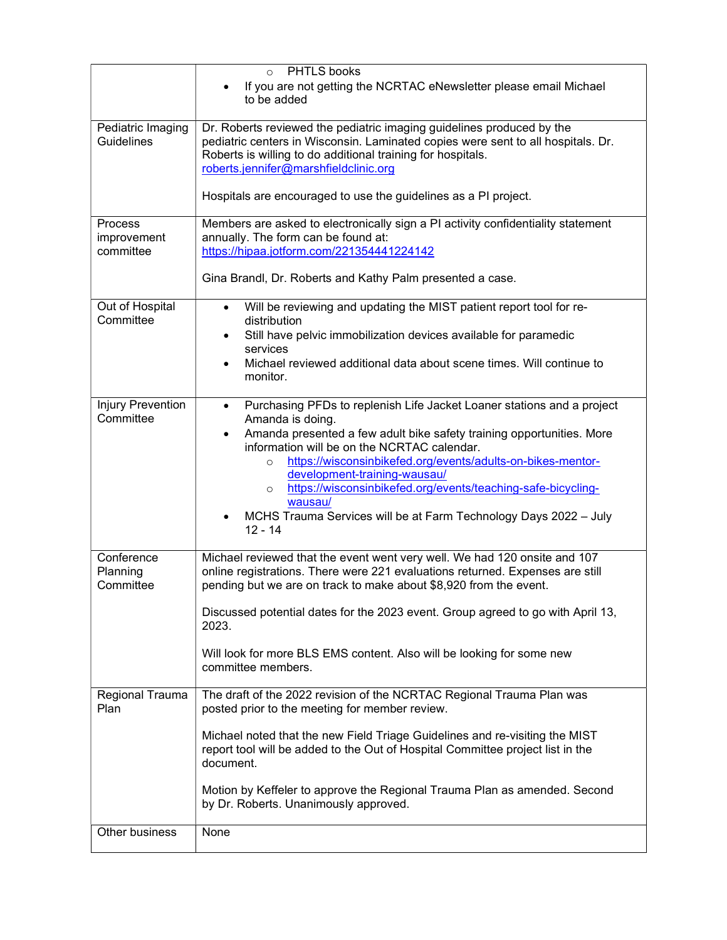|                                       | PHTLS books<br>$\Omega$                                                                                                                                                                                                                                           |
|---------------------------------------|-------------------------------------------------------------------------------------------------------------------------------------------------------------------------------------------------------------------------------------------------------------------|
|                                       | If you are not getting the NCRTAC eNewsletter please email Michael<br>to be added                                                                                                                                                                                 |
| Pediatric Imaging<br>Guidelines       | Dr. Roberts reviewed the pediatric imaging guidelines produced by the<br>pediatric centers in Wisconsin. Laminated copies were sent to all hospitals. Dr.<br>Roberts is willing to do additional training for hospitals.<br>roberts.jennifer@marshfieldclinic.org |
|                                       | Hospitals are encouraged to use the guidelines as a PI project.                                                                                                                                                                                                   |
| Process<br>improvement<br>committee   | Members are asked to electronically sign a PI activity confidentiality statement<br>annually. The form can be found at:<br>https://hipaa.jotform.com/221354441224142                                                                                              |
|                                       | Gina Brandl, Dr. Roberts and Kathy Palm presented a case.                                                                                                                                                                                                         |
| Out of Hospital<br>Committee          | Will be reviewing and updating the MIST patient report tool for re-<br>$\bullet$<br>distribution                                                                                                                                                                  |
|                                       | Still have pelvic immobilization devices available for paramedic<br>$\bullet$<br>services                                                                                                                                                                         |
|                                       | Michael reviewed additional data about scene times. Will continue to<br>٠<br>monitor.                                                                                                                                                                             |
| <b>Injury Prevention</b><br>Committee | Purchasing PFDs to replenish Life Jacket Loaner stations and a project<br>$\bullet$<br>Amanda is doing.                                                                                                                                                           |
|                                       | Amanda presented a few adult bike safety training opportunities. More<br>٠<br>information will be on the NCRTAC calendar.<br>https://wisconsinbikefed.org/events/adults-on-bikes-mentor-<br>$\circ$<br>development-training-wausau/                               |
|                                       | https://wisconsinbikefed.org/events/teaching-safe-bicycling-<br>$\circ$<br>wausau/                                                                                                                                                                                |
|                                       | MCHS Trauma Services will be at Farm Technology Days 2022 - July<br>$12 - 14$                                                                                                                                                                                     |
| Conference<br>Planning<br>Committee   | Michael reviewed that the event went very well. We had 120 onsite and 107<br>online registrations. There were 221 evaluations returned. Expenses are still<br>pending but we are on track to make about \$8,920 from the event.                                   |
|                                       | Discussed potential dates for the 2023 event. Group agreed to go with April 13,<br>2023.                                                                                                                                                                          |
|                                       | Will look for more BLS EMS content. Also will be looking for some new<br>committee members.                                                                                                                                                                       |
| Regional Trauma<br>Plan               | The draft of the 2022 revision of the NCRTAC Regional Trauma Plan was<br>posted prior to the meeting for member review.                                                                                                                                           |
|                                       | Michael noted that the new Field Triage Guidelines and re-visiting the MIST<br>report tool will be added to the Out of Hospital Committee project list in the<br>document.                                                                                        |
|                                       | Motion by Keffeler to approve the Regional Trauma Plan as amended. Second<br>by Dr. Roberts. Unanimously approved.                                                                                                                                                |
| Other business                        | None                                                                                                                                                                                                                                                              |